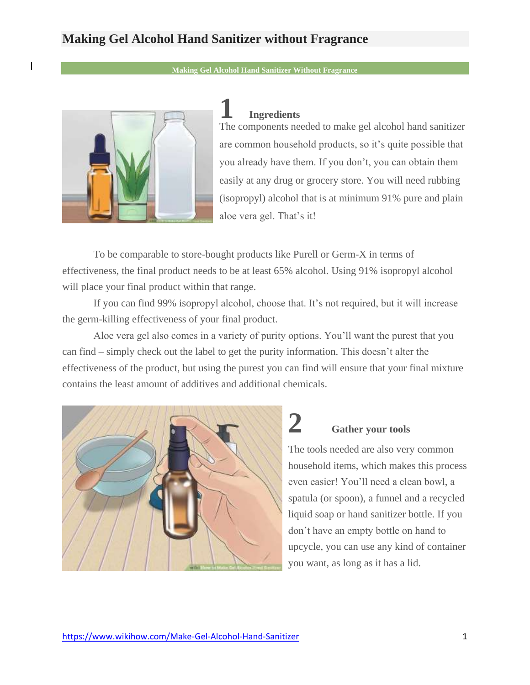### **Making Gel Alcohol Hand Sanitizer without Fragrance**

**Making Gel Alcohol Ha[nd Sani](https://www.wikihow.com/Make-Gel-Alcohol-Hand-Sanitizer?fbclid=IwAR1zEp57a2Q8MwAtOc34KtxpD2lW87epm3L36TcyjOWpOJgxocLJl77WnVI#/Image:Make-Gel-Alcohol-Hand-Sanitizer-Step-1-Version-2.jpg)tizer Without Fragrance**



 $\overline{\phantom{a}}$ 

#### **1 Ingredients**

The components needed to make gel alcohol hand sanitizer are common household products, so it's quite possible that you already have them. If you don't, you can obtain them easily at any drug or grocery store. You will need rubbing (isopropyl) alcohol that is at minimum 91% pure and plain aloe vera gel. That's it!

To be comparable to store-bought products like Purell or Germ-X in terms of effectiveness, the final product needs to be at least 65% alcohol. Using 91% isopropyl alcohol will place your final product within that range.

If you can find 99% isopropyl alcohol, choose that. It's not required, but it will increase the germ-killing effectiveness of your final product.

Aloe vera gel also comes in a variety of purity options. You'll want the purest that you can find – simply check out the label to get the purity information. This doesn't alter the effectiveness of the product, but using the purest you can find will ensure that your final mixture contains the least amount of additives and add[itiona](https://www.wikihow.com/Make-Gel-Alcohol-Hand-Sanitizer?fbclid=IwAR1zEp57a2Q8MwAtOc34KtxpD2lW87epm3L36TcyjOWpOJgxocLJl77WnVI#/Image:Make-Gel-Alcohol-Hand-Sanitizer-Step-2-Version-2.jpg)l chemicals.



# **2 Gather your tools**

The tools needed are also very common household items, which makes this process even easier! You'll need a clean bowl, a spatula (or spoon), a funnel and a recycled liquid soap or hand sanitizer bottle. If you don't have an empty bottle on hand to upcycle, you can use any kind of container [you want, as long as it has a lid.](https://www.wikihow.com/Make-Gel-Alcohol-Hand-Sanitizer?fbclid=IwAR1zEp57a2Q8MwAtOc34KtxpD2lW87epm3L36TcyjOWpOJgxocLJl77WnVI#/Image:Make-Gel-Alcohol-Hand-Sanitizer-Step-3-Version-2.jpg)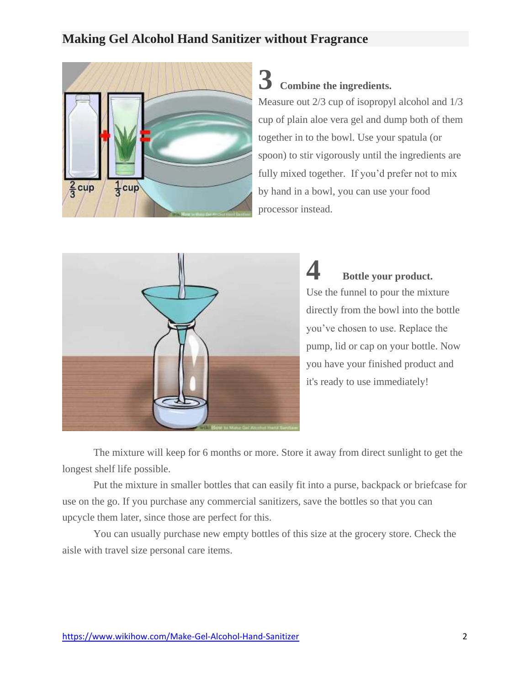### **Making Gel Alcohol Hand Sanitizer without Fragrance**



**3 Combine the ingredients.**

Measure out 2/3 cup of isopropyl alcohol and 1/3 cup of plain aloe vera gel and dump both of them together in to the bowl. Use your spatula (or spoon) to stir vigorously until the ingredients are fully mixed together. If you'd prefer not to mix by hand in a bowl, you can use your food processor instead.



**4 Bottle your product.** Use the funnel to pour the mixture directly from the bowl into the bottle you've chosen to use. Replace the pump, lid or cap on your bottle. Now you have your finished product and it's ready to use immediately!

The mixture will keep for 6 months or more. Store it away from direct sunlight to get the longest shelf life possible.

Put the mixture in smaller bottles that can easily fit into a purse, backpack or briefcase for use on the go. If you purchase any commercial sanitizers, save the bottles so that you can upcycle them later, since those are perfect for this.

You can usually purchase new empty bottles of this size at the grocery store. Check the aisle with travel size personal care items.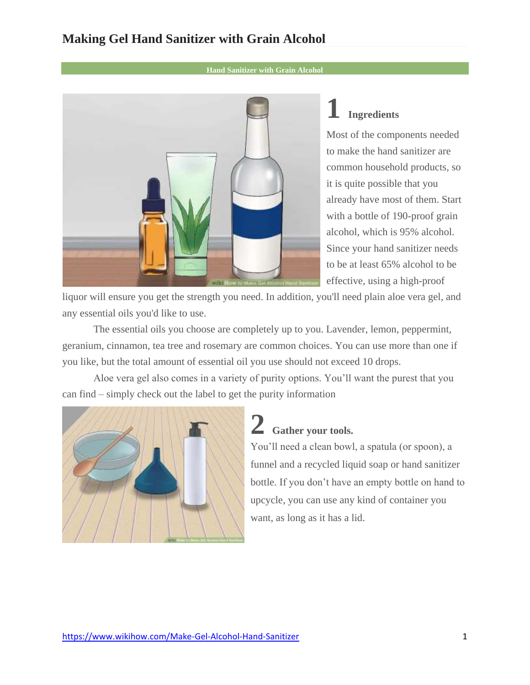### **Making Gel Hand Sanitizer with Grain Alcohol**

**Hand Sanitize[r with](https://www.wikihow.com/Make-Gel-Alcohol-Hand-Sanitizer?fbclid=IwAR1zEp57a2Q8MwAtOc34KtxpD2lW87epm3L36TcyjOWpOJgxocLJl77WnVI#/Image:Make-Gel-Alcohol-Hand-Sanitizer-Step-11.jpg) Grain Alcohol**



### **1 Ingredients**

Most of the components needed to make the hand sanitizer are common household products, so it is quite possible that you already have most of them. Start with a bottle of 190-proof grain alcohol, which is 95% alcohol. Since your hand sanitizer needs to be at least 65% alcohol to be effective, using a high-proof

liquor will ensure you get the strength you need. In addition, you'll need plain aloe vera gel, and any essential oils you'd like to use.

The essential oils you choose are completely up to you. Lavender, lemon, peppermint, geranium, cinnamon, tea tree and rosemary are common choices. You can use more than one if you like, but the total amount of essential oil you use should not exceed 10 drops.

Aloe vera gel also comes in a variety of purity options. You'll want the purest that you can find – simply check out the label to get the purity information



## **2 Gather your tools.**

You'll need a clean bowl, a spatula (or spoon), a funnel and a recycled liquid soap or hand sanitizer bottle. If you don't have an empty bottle on hand to upcycle, you can use any kind of container you want, as long as it has a lid.